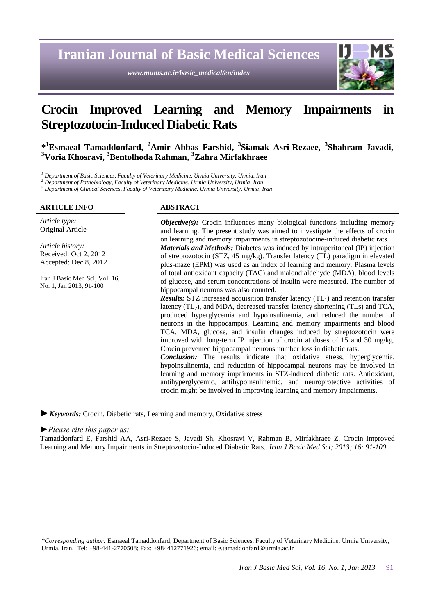# **Iranian Journal of Basic Medical Sciences**

*www.mums.ac.ir/basic\_medical/en/index*



# **Crocin Improved Learning and Memory Impairments in Streptozotocin-Induced Diabetic Rats**

**\* <sup>1</sup>Esmaeal Tamaddonfard, <sup>2</sup>Amir Abbas Farshid, <sup>3</sup> Siamak Asri-Rezaee, <sup>3</sup> Shahram Javadi, <sup>3</sup>Voria Khosravi, <sup>3</sup>Bentolhoda Rahman, <sup>3</sup>Zahra Mirfakhraee**

*<sup>1</sup> Department of Basic Sciences, Faculty of Veterinary Medicine, Urmia University, Urmia, Iran*

*<sup>2</sup> Department of Pathobiology, Faculty of Veterinary Medicine, Urmia University, Urmia, Iran*

*<sup>3</sup> Department of Clinical Sciences, Faculty of Veterinary Medicine, Urmia University, Urmia, Iran*

| <b>ARTICLE INFO</b>                                                | <b>ABSTRACT</b>                                                                                                                                                                                                                                                                                                                                                                                                                                                                                                                                                                                                                                                                                                                                                                                                                                                                                                                                                                                                                                                                                                                                                                                                                                                                                                                                                                                                                                                                                                                                                                                                                                                                           |
|--------------------------------------------------------------------|-------------------------------------------------------------------------------------------------------------------------------------------------------------------------------------------------------------------------------------------------------------------------------------------------------------------------------------------------------------------------------------------------------------------------------------------------------------------------------------------------------------------------------------------------------------------------------------------------------------------------------------------------------------------------------------------------------------------------------------------------------------------------------------------------------------------------------------------------------------------------------------------------------------------------------------------------------------------------------------------------------------------------------------------------------------------------------------------------------------------------------------------------------------------------------------------------------------------------------------------------------------------------------------------------------------------------------------------------------------------------------------------------------------------------------------------------------------------------------------------------------------------------------------------------------------------------------------------------------------------------------------------------------------------------------------------|
| Article type:<br>Original Article                                  | <b><i>Objective(s)</i></b> : Crocin influences many biological functions including memory<br>and learning. The present study was aimed to investigate the effects of crocin<br>on learning and memory impairments in streptozotocine-induced diabetic rats.<br>Materials and Methods: Diabetes was induced by intraperitoneal (IP) injection<br>of streptozotocin (STZ, 45 mg/kg). Transfer latency (TL) paradigm in elevated<br>plus-maze (EPM) was used as an index of learning and memory. Plasma levels<br>of total antioxidant capacity (TAC) and malondialdehyde (MDA), blood levels<br>of glucose, and serum concentrations of insulin were measured. The number of<br>hippocampal neurons was also counted.<br><b>Results:</b> STZ increased acquisition transfer latency $(TL_1)$ and retention transfer<br>latency (TL <sub>2</sub> ), and MDA, decreased transfer latency shortening (TLs) and TCA,<br>produced hyperglycemia and hypoinsulinemia, and reduced the number of<br>neurons in the hippocampus. Learning and memory impairments and blood<br>TCA, MDA, glucose, and insulin changes induced by streptozotocin were<br>improved with long-term IP injection of crocin at doses of 15 and 30 mg/kg.<br>Crocin prevented hippocampal neurons number loss in diabetic rats.<br>Conclusion: The results indicate that oxidative stress, hyperglycemia,<br>hypoinsulinemia, and reduction of hippocampal neurons may be involved in<br>learning and memory impairments in STZ-induced diabetic rats. Antioxidant,<br>antihyperglycemic, antihypoinsulinemic, and neuroprotective activities of<br>crocin might be involved in improving learning and memory impairments. |
| Article history:<br>Received: Oct 2, 2012<br>Accepted: Dec 8, 2012 |                                                                                                                                                                                                                                                                                                                                                                                                                                                                                                                                                                                                                                                                                                                                                                                                                                                                                                                                                                                                                                                                                                                                                                                                                                                                                                                                                                                                                                                                                                                                                                                                                                                                                           |
| Iran J Basic Med Sci; Vol. 16,<br>No. 1, Jan 2013, 91-100          |                                                                                                                                                                                                                                                                                                                                                                                                                                                                                                                                                                                                                                                                                                                                                                                                                                                                                                                                                                                                                                                                                                                                                                                                                                                                                                                                                                                                                                                                                                                                                                                                                                                                                           |
|                                                                    |                                                                                                                                                                                                                                                                                                                                                                                                                                                                                                                                                                                                                                                                                                                                                                                                                                                                                                                                                                                                                                                                                                                                                                                                                                                                                                                                                                                                                                                                                                                                                                                                                                                                                           |

*►Keywords:* Crocin, Diabetic rats, Learning and memory, Oxidative stress

#### *►Please cite this paper as:*

Tamaddonfard E, Farshid AA, Asri-Rezaee S, Javadi Sh, Khosravi V, Rahman B, Mirfakhraee Z*.* Crocin Improved Learning and Memory Impairments in Streptozotocin-Induced Diabetic Rats.*. Iran J Basic Med Sci; 2013; 16: 91-100.*

*<sup>\*</sup>Corresponding author:* Esmaeal Tamaddonfard, Department of Basic Sciences, Faculty of Veterinary Medicine, Urmia University, Urmia, Iran. Tel: +98-441-2770508; Fax: +984412771926; email: e.tamaddonfard@urmia.ac.ir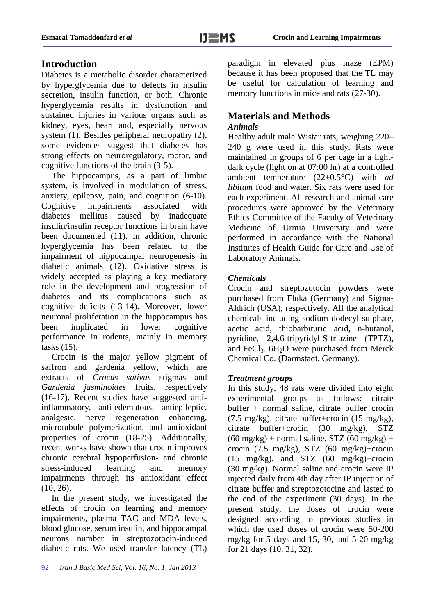# **Introduction**

Diabetes is a metabolic disorder characterized by hyperglycemia due to defects in insulin secretion, insulin function, or both. Chronic hyperglycemia results in dysfunction and sustained injuries in various organs such as kidney, eyes, heart and, especially nervous system (1). Besides peripheral neuropathy (2), some evidences suggest that diabetes has strong effects on neuroregulatory, motor, and cognitive functions of the brain (3-5).

The hippocampus, as a part of limbic system, is involved in modulation of stress, anxiety, epilepsy, pain, and cognition (6-10). Cognitive impairments associated with diabetes mellitus caused by inadequate insulin/insulin receptor functions in brain have been documented (11). In addition, chronic hyperglycemia has been related to the impairment of hippocampal neurogenesis in diabetic animals (12). Oxidative stress is widely accepted as playing a key mediatory role in the development and progression of diabetes and its complications such as cognitive deficits (13-14). Moreover, lower neuronal proliferation in the hippocampus has been implicated in lower cognitive performance in rodents, mainly in memory tasks (15).

Crocin is the major yellow pigment of saffron and gardenia yellow, which are extracts of *Crocus sativus* stigmas and *Gardenia jasminoides* fruits, respectively (16-17). Recent studies have suggested antiinflammatory, anti-edematous, antiepileptic, analgesic, nerve regeneration enhancing, microtubule polymerization, and antioxidant properties of crocin (18-25). Additionally, recent works have shown that crocin improves chronic cerebral hypoperfusion- and chronic stress-induced learning and memory impairments through its antioxidant effect  $(10, 26)$ .

In the present study, we investigated the effects of crocin on learning and memory impairments, plasma TAC and MDA levels, blood glucose, serum insulin, and hippocampal neurons number in streptozotocin-induced diabetic rats. We used transfer latency (TL)

92 *Iran J Basic Med Sci, Vol. 16, No. 1, Jan 2013* 

paradigm in elevated plus maze (EPM) because it has been proposed that the TL may be useful for calculation of learning and memory functions in mice and rats  $(27-30)$ .

# **Materials and Methods**

## *Animals*

Healthy adult male Wistar rats, weighing 220– 240 g were used in this study. Rats were maintained in groups of 6 per cage in a lightdark cycle (light on at 07:00 hr) at a controlled ambient temperature (22±0.5°C) with *ad libitum* food and water. Six rats were used for each experiment. All research and animal care procedures were approved by the Veterinary Ethics Committee of the Faculty of Veterinary Medicine of Urmia University and were performed in accordance with the National Institutes of Health Guide for Care and Use of Laboratory Animals.

## *Chemicals*

Crocin and streptozotocin powders were purchased from Fluka (Germany) and Sigma-Aldrich (USA), respectively. All the analytical chemicals including sodium dodecyl sulphate, acetic acid, thiobarbituric acid, n-butanol, pyridine, 2,4,6-tripyridyl-S-triazine (TPTZ), and FeCl<sub>3</sub>.  $6H<sub>2</sub>O$  were purchased from Merck Chemical Co. (Darmstadt, Germany).

### *Treatment groups*

In this study, 48 rats were divided into eight experimental groups as follows: citrate buffer + normal saline, citrate buffer+crocin (7.5 mg/kg), citrate buffer+crocin (15 mg/kg), citrate buffer+crocin (30 mg/kg), STZ  $(60 \text{ mg/kg})$  + normal saline, STZ  $(60 \text{ mg/kg})$  + crocin (7.5 mg/kg), STZ (60 mg/kg)+crocin (15 mg/kg), and STZ (60 mg/kg)+crocin (30 mg/kg). Normal saline and crocin were IP injected daily from 4th day after IP injection of citrate buffer and streptozotocine and lasted to the end of the experiment (30 days). In the present study, the doses of crocin were designed according to previous studies in which the used doses of crocin were 50-200 mg/kg for 5 days and 15, 30, and 5-20 mg/kg for 21 days (10, 31, 32).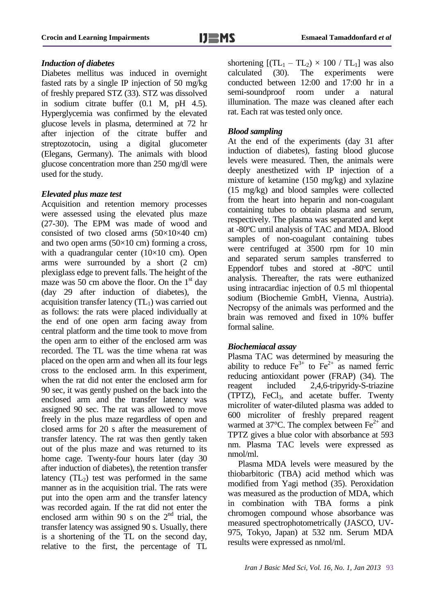#### *Induction of diabetes*

Diabetes mellitus was induced in overnight fasted rats by a single IP injection of 50 mg/kg of freshly prepared STZ (33). STZ was dissolved in sodium citrate buffer (0.1 M, pH 4.5). Hyperglycemia was confirmed by the elevated glucose levels in plasma, determined at 72 hr after injection of the citrate buffer and streptozotocin, using a digital glucometer (Elegans, Germany). The animals with blood glucose concentration more than 250 mg/dl were used for the study.

#### *Elevated plus maze test*

Acquisition and retention memory processes were assessed using the elevated plus maze (27-30). The EPM was made of wood and consisted of two closed arms  $(50\times10\times40$  cm) and two open arms  $(50\times10 \text{ cm})$  forming a cross, with a quadrangular center  $(10\times10$  cm). Open arms were surrounded by a short (2 cm) plexiglass edge to prevent falls. The height of the maze was 50 cm above the floor. On the  $1<sup>st</sup>$  day (day 29 after induction of diabetes), the acquisition transfer latency  $(TL_1)$  was carried out as follows: the rats were placed individually at the end of one open arm facing away from central platform and the time took to move from the open arm to either of the enclosed arm was recorded. The TL was the time whena rat was placed on the open arm and when all its four legs cross to the enclosed arm. In this experiment, when the rat did not enter the enclosed arm for 90 sec, it was gently pushed on the back into the enclosed arm and the transfer latency was assigned 90 sec. The rat was allowed to move freely in the plus maze regardless of open and closed arms for 20 s after the measurement of transfer latency. The rat was then gently taken out of the plus maze and was returned to its home cage. Twenty-four hours later (day 30 after induction of diabetes), the retention transfer latency  $(T_2)$  test was performed in the same manner as in the acquisition trial. The rats were put into the open arm and the transfer latency was recorded again. If the rat did not enter the enclosed arm within 90 s on the  $2<sup>nd</sup>$  trial, the transfer latency was assigned 90 s. Usually, there is a shortening of the TL on the second day, relative to the first, the percentage of TL

shortening  $[(TL_1 - TL_2) \times 100 / TL_1]$  was also<br>calculated (30). The experiments were calculated (30). The experiments were conducted between 12:00 and 17:00 hr in a semi-soundproof room under a natural illumination. The maze was cleaned after each rat. Each rat was tested only once.

#### *Blood sampling*

At the end of the experiments (day 31 after induction of diabetes), fasting blood glucose levels were measured. Then, the animals were deeply anesthetized with IP injection of a mixture of ketamine (150 mg/kg) and xylazine (15 mg/kg) and blood samples were collected from the heart into heparin and non-coagulant containing tubes to obtain plasma and serum, respectively. The plasma was separated and kept at -80ºC until analysis of TAC and MDA. Blood samples of non-coagulant containing tubes were centrifuged at 3500 rpm for 10 min and separated serum samples transferred to Eppendorf tubes and stored at -80ºC until analysis. Thereafter, the rats were euthanized using intracardiac injection of 0.5 ml thiopental sodium (Biochemie GmbH, Vienna, Austria). Necropsy of the animals was performed and the brain was removed and fixed in 10% buffer formal saline.

#### *Biochemiacal assay*

Plasma TAC was determined by measuring the ability to reduce  $\text{Fe}^{3+}$  to  $\text{Fe}^{2+}$  as named ferric reducing antioxidant power (FRAP) (34). The reagent included 2,4,6-tripyridy-S-triazine (TPTZ), FeCl3, and acetate buffer. Twenty microliter of water-diluted plasma was added to 600 microliter of freshly prepared reagent warmed at  $37^{\circ}$ C. The complex between Fe<sup>2+</sup> and TPTZ gives a blue color with absorbance at 593 nm. Plasma TAC levels were expressed as nmol/ml.

Plasma MDA levels were measured by the thiobarbitoric (TBA) acid method which was modified from Yagi method (35). Peroxidation was measured as the production of MDA, which in combination with TBA forms a pink chromogen compound whose absorbance was measured spectrophotometrically (JASCO, UV-975, Tokyo, Japan) at 532 nm. Serum MDA results were expressed as nmol/ml.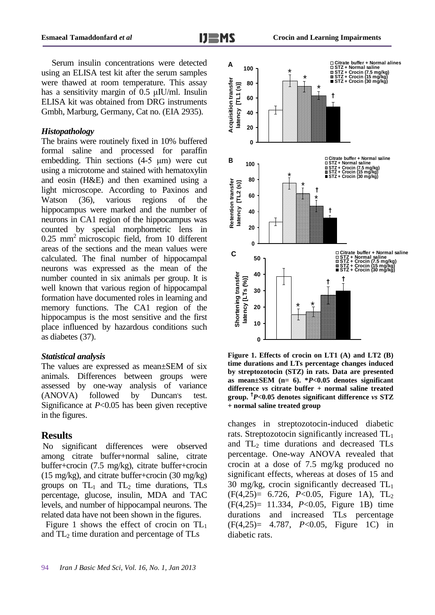Serum insulin concentrations were detected using an ELISA test kit after the serum samples were thawed at room temperature. This assay has a sensitivity margin of 0.5 μIU/ml. Insulin ELISA kit was obtained from DRG instruments Gmbh, Marburg, Germany, Cat no. (EIA 2935).

#### *Histopathology*

The brains were routinely fixed in 10% buffered formal saline and processed for paraffin embedding. Thin sections (4-5 μm) were cut using a microtome and stained with hematoxylin and eosin (H&E) and then examined using a light microscope. According to Paxinos and Watson (36), various regions of the hippocampus were marked and the number of neurons in CA1 region of the hippocampus was counted by special morphometric lens in  $0.25$  mm<sup>2</sup> microscopic field, from 10 different areas of the sections and the mean values were calculated. The final number of hippocampal neurons was expressed as the mean of the number counted in six animals per group. It is well known that various region of hippocampal formation have documented roles in learning and memory functions. The CA1 region of the hippocampus is the most sensitive and the first place influenced by hazardous conditions such as diabetes (37).

#### *Statistical analysis*

The values are expressed as mean±SEM of six animals. Differences between groups were assessed by one-way analysis of variance (ANOVA) followed by Duncan's test. Significance at *P*<0.05 has been given receptive in the figures.

#### **Results**

No significant differences were observed among citrate buffer+normal saline, citrate buffer+crocin (7.5 mg/kg), citrate buffer+crocin (15 mg/kg), and citrate buffer+crocin (30 mg/kg) groups on  $TL_1$  and  $TL_2$  time durations, TLs percentage, glucose, insulin, MDA and TAC levels, and number of hippocampal neurons. The related data have not been shown in the figures.

Figure 1 shows the effect of crocin on  $TL_1$ and  $TL_2$  time duration and percentage of TLs





**Figure 1. Effects of crocin on LT1 (A) and LT2 (B) time durations and LTs percentage changes induced by streptozotocin (STZ) in rats. Data are presented as mean±SEM (n= 6). \****P***<0.05 denotes significant difference** *vs* **citrate buffer + normal saline treated group. †** *P***<0.05 denotes significant difference** *vs* **STZ + normal saline treated group**

changes in streptozotocin-induced diabetic rats. Streptozotocin significantly increased TL<sup>1</sup> and  $TL_2$  time durations and decreased TLs percentage. One-way ANOVA revealed that crocin at a dose of 7.5 mg/kg produced no significant effects, whereas at doses of 15 and 30 mg/kg, crocin significantly decreased  $TL_1$ (F(4,25)= 6.726, *P*<0.05, Figure 1A), TL<sup>2</sup> (F(4,25)= 11.334, *P*<0.05, Figure 1B) time durations and increased TLs percentage (F(4,25)= 4.787, *P*<0.05, Figure 1C) in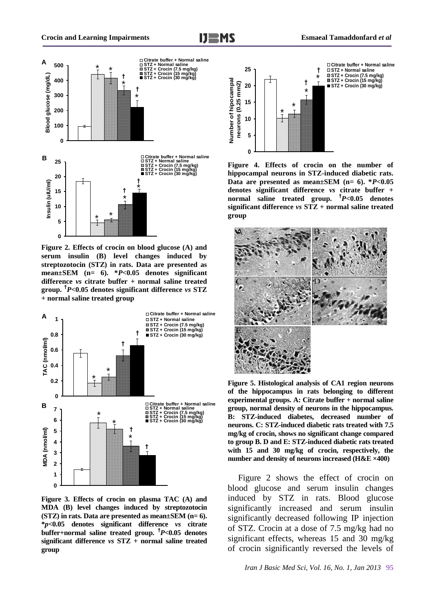

**Figure 2. Effects of crocin on blood glucose (A) and serum insulin (B) level changes induced by streptozotocin (STZ) in rats. Data are presented as mean±SEM (n= 6). \****P***<0.05 denotes significant difference** *vs* **citrate buffer + normal saline treated group. †** *P***<0.05 denotes significant difference** *vs* **STZ + normal saline treated group**



**Figure 3. Effects of crocin on plasma TAC (A) and MDA (B) level changes induced by streptozotocin (STZ) in rats. Data are presented as mean±SEM (n= 6). \****p***<0.05 denotes significant difference** *vs* **citrate buffer+normal saline treated group. †** *P***<0.05 denotes significant difference** *vs* **STZ + normal saline treated group**



**Figure 4. Effects of crocin on the number of hippocampal neurons in STZ-induced diabetic rats. Data are presented as mean±SEM (n= 6). \****P***<0.05 denotes significant difference** *vs* **citrate buffer + normal saline treated group. †** *P***<0.05 denotes significant difference** *vs* **STZ + normal saline treated group**



**Figure 5. Histological analysis of CA1 region neurons of the hippocampus in rats belonging to different experimental groups. A: Citrate buffer + normal saline group, normal density of neurons in the hippocampus. B: STZ-induced diabetes, decreased number of neurons. C: STZ-induced diabetic rats treated with 7.5 mg/kg of crocin, shows no significant change compared to group B. D and E: STZ-induced diabetic rats treated with 15 and 30 mg/kg of crocin, respectively, the number and density of neurons increased (H&E ×400)**

Figure 2 shows the effect of crocin on blood glucose and serum insulin changes induced by STZ in rats. Blood glucose significantly increased and serum insulin significantly decreased following IP injection of STZ. Crocin at a dose of 7.5 mg/kg had no significant effects, whereas 15 and 30 mg/kg of crocin significantly reversed the levels of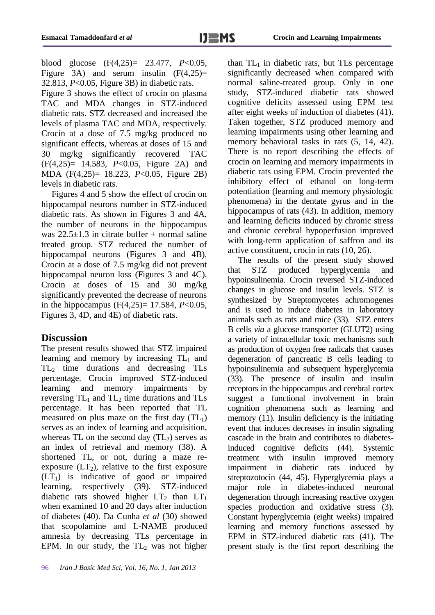blood glucose (F(4,25)= 23.477, *P*<0.05, Figure 3A) and serum insulin  $(F(4,25))$ = 32.813, *P*<0.05, Figure 3B) in diabetic rats.

Figure 3 shows the effect of crocin on plasma TAC and MDA changes in STZ-induced diabetic rats. STZ decreased and increased the levels of plasma TAC and MDA, respectively. Crocin at a dose of 7.5 mg/kg produced no significant effects, whereas at doses of 15 and 30 mg/kg significantly recovered TAC (F(4,25)= 14.583, *P*<0.05, Figure 2A) and MDA (F(4,25)= 18.223, *P*<0.05, Figure 2B) levels in diabetic rats.

Figures 4 and 5 show the effect of crocin on hippocampal neurons number in STZ-induced diabetic rats. As shown in Figures 3 and 4A, the number of neurons in the hippocampus was  $22.5 \pm 1.3$  in citrate buffer + normal saline treated group. STZ reduced the number of hippocampal neurons (Figures 3 and 4B). Crocin at a dose of 7.5 mg/kg did not prevent hippocampal neuron loss (Figures 3 and 4C). Crocin at doses of 15 and 30 mg/kg significantly prevented the decrease of neurons in the hippocampus (F(4,25)= 17.584, *P*<0.05, Figures 3, 4D, and 4E) of diabetic rats.

# **Discussion**

The present results showed that STZ impaired learning and memory by increasing  $TL_1$  and TL<sup>2</sup> time durations and decreasing TLs percentage. Crocin improved STZ-induced learning and memory impairments by reversing  $TL_1$  and  $TL_2$  time durations and  $TLs$ percentage. It has been reported that TL measured on plus maze on the first day  $(TL_1)$ serves as an index of learning and acquisition, whereas TL on the second day  $(TL_2)$  serves as an index of retrieval and memory (38). A shortened TL, or not, during a maze reexposure  $(LT_2)$ , relative to the first exposure  $(LT_1)$  is indicative of good or impaired learning, respectively (39). STZ-induced diabetic rats showed higher  $LT_2$  than  $LT_1$ when examined 10 and 20 days after induction of diabetes (40). Da Cunha *et al* (30) showed that scopolamine and L-NAME produced amnesia by decreasing TLs percentage in EPM. In our study, the  $TL_2$  was not higher than  $TL_1$  in diabetic rats, but TLs percentage significantly decreased when compared with normal saline-treated group. Only in one study, STZ-induced diabetic rats showed cognitive deficits assessed using EPM test after eight weeks of induction of diabetes (41). Taken together, STZ produced memory and learning impairments using other learning and memory behavioral tasks in rats  $(5, 14, 42)$ . There is no report describing the effects of crocin on learning and memory impairments in diabetic rats using EPM. Crocin prevented the inhibitory effect of ethanol on long-term potentiation (learning and memory physiologic phenomena) in the dentate gyrus and in the hippocampus of rats (43). In addition, memory and learning deficits induced by chronic stress and chronic cerebral hypoperfusion improved with long-term application of saffron and its active constituent, crocin in rats (10, 26).

The results of the present study showed that STZ produced hyperglycemia and hypoinsulinemia. Crocin reversed STZ-induced changes in glucose and insulin levels. STZ is synthesized by Streptomycetes achromogenes and is used to induce diabetes in laboratory animals such as rats and mice (33). STZ enters B cells *via* a glucose transporter (GLUT2) using a variety of intracellular toxic mechanisms such as production of oxygen free radicals that causes degeneration of pancreatic B cells leading to hypoinsulinemia and subsequent hyperglycemia (33). The presence of insulin and insulin receptors in the hippocampus and cerebral cortex suggest a functional involvement in brain cognition phenomena such as learning and memory (11). Insulin deficiency is the initiating event that induces decreases in insulin signaling cascade in the brain and contributes to diabetesinduced cognitive deficits (44). Systemic treatment with insulin improved memory impairment in diabetic rats induced by streptozotocin (44, 45). Hyperglycemia plays a major role in diabetes-induced neuronal degeneration through increasing reactive oxygen species production and oxidative stress (3). Constant hyperglycemia (eight weeks) impaired learning and memory functions assessed by EPM in STZ-induced diabetic rats (41). The present study is the first report describing the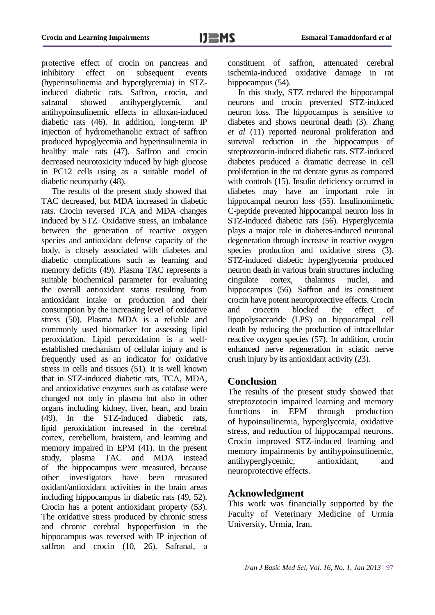protective effect of crocin on pancreas and inhibitory effect on subsequent events (hyperinsulinemia and hyperglycemia) in STZinduced diabetic rats. Saffron, crocin, and safranal showed antihyperglycemic and antihypoinsulinemic effects in alloxan-induced diabetic rats (46). In addition, long-term IP injection of hydromethanolic extract of saffron produced hypoglycemia and hyperinsulinemia in healthy male rats (47). Saffron and crocin decreased neurotoxicity induced by high glucose in PC12 cells using as a suitable model of diabetic neuropathy (48).

The results of the present study showed that TAC decreased, but MDA increased in diabetic rats. Crocin reversed TCA and MDA changes induced by STZ. Oxidative stress, an imbalance between the generation of reactive oxygen species and antioxidant defense capacity of the body, is closely associated with diabetes and diabetic complications such as learning and memory deficits (49). Plasma TAC represents a suitable biochemical parameter for evaluating the overall antioxidant status resulting from antioxidant intake or production and their consumption by the increasing level of oxidative stress (50). Plasma MDA is a reliable and commonly used biomarker for assessing lipid peroxidation. Lipid peroxidation is a wellestablished mechanism of cellular injury and is frequently used as an indicator for oxidative stress in cells and tissues (51). It is well known that in STZ-induced diabetic rats, TCA, MDA, and antioxidative enzymes such as catalase were changed not only in plasma but also in other organs including kidney, liver, heart, and brain (49). In the STZ-induced diabetic rats, lipid peroxidation increased in the cerebral cortex, cerebellum, braistem, and learning and memory impaired in EPM (41). In the present study, plasma TAC and MDA instead of the hippocampus were measured, because other investigators have been measured oxidant/antioxidant activities in the brain areas including hippocampus in diabetic rats (49, 52). Crocin has a potent antioxidant property (53). The oxidative stress produced by chronic stress and chronic cerebral hypoperfusion in the hippocampus was reversed with IP injection of saffron and crocin (10, 26). Safranal, a

constituent of saffron, attenuated cerebral ischemia-induced oxidative damage in rat hippocampus  $(54)$ .

In this study, STZ reduced the hippocampal neurons and crocin prevented STZ-induced neuron loss. The hippocampus is sensitive to diabetes and shows neuronal death (3). Zhang *et al* (11) reported neuronal proliferation and survival reduction in the hippocampus of streptozotocin-induced diabetic rats. STZ-induced diabetes produced a dramatic decrease in cell proliferation in the rat dentate gyrus as compared with controls  $(15)$ . Insulin deficiency occurred in diabetes may have an important role in hippocampal neuron loss (55). Insulinomimetic C-peptide prevented hippocampal neuron loss in STZ-induced diabetic rats (56). Hyperglycemia plays a major role in diabetes-induced neuronal degeneration through increase in reactive oxygen species production and oxidative stress (3). STZ-induced diabetic hyperglycemia produced neuron death in various brain structures including cingulate cortex, thalamus nuclei, and hippocampus (56). Saffron and its constituent crocin have potent neuroprotective effects. Crocin and crocetin blocked the effect of lipopolysaccaride (LPS) on hippocampal cell death by reducing the production of intracellular reactive oxygen species (57). In addition, crocin enhanced nerve regeneration in sciatic nerve crush injury by its antioxidant activity (23).

### **Conclusion**

The results of the present study showed that streptozotocin impaired learning and memory functions in EPM through production of hypoinsulinemia, hyperglycemia, oxidative stress, and reduction of hippocampal neurons. Crocin improved STZ-induced learning and memory impairments by antihypoinsulinemic, antihyperglycemic, antioxidant, and neuroprotective effects.

# **Acknowledgment**

This work was financially supported by the Faculty of Veterinary Medicine of Urmia University, Urmia, Iran.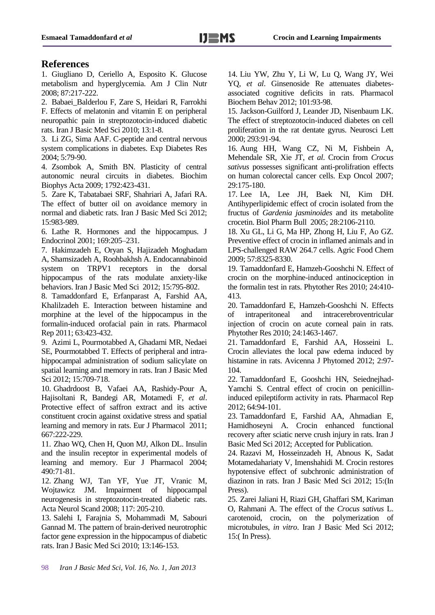# **References**

1. Giugliano D, Ceriello A, Esposito K. Glucose metabolism and hyperglycemia. Am J Clin Nutr 2008; 87:217-222.

2. Babaei\_Balderlou F, Zare S, Heidari R, Farrokhi F. Effects of melatonin and vitamin E on peripheral neuropathic pain in streptozotocin-induced diabetic rats. Iran J Basic Med Sci 2010; 13:1-8.

3. Li ZG, Sima AAF. C-peptide and central nervous system complications in diabetes. Exp Diabetes Res 2004; 5:79-90.

4. Zsombok A, Smith BN. Plasticity of central autonomic neural circuits in diabetes. Biochim Biophys Acta 2009; 1792:423-431.

5. Zare K, Tabatabaei SRF, Shahriari A, Jafari RA. The effect of butter oil on avoidance memory in normal and diabetic rats. Iran J Basic Med Sci 2012; 15:983-989.

6. Lathe R. Hormones and the hippocampus. J Endocrinol 2001; 169:205–231.

7. Hakimzadeh E, Oryan S, Hajizadeh Moghadam A, Shamsizadeh A, Roohbakhsh A. Endocannabinoid system on TRPV1 receptors in the dorsal hippocampus of the rats modulate anxiety-like behaviors. Iran J Basic Med Sci 2012; 15:795-802.

8. Tamaddonfard E, Erfanparast A, Farshid AA, Khalilzadeh E. Interaction between histamine and morphine at the level of the hippocampus in the formalin-induced orofacial pain in rats. Pharmacol Rep 2011; 63:423-432.

9. Azimi L, Pourmotabbed A, Ghadami MR, Nedaei SE, Pourmotabbed T. Effects of peripheral and intrahippocampal administration of sodium salicylate on spatial learning and memory in rats. Iran J Basic Med Sci 2012; 15:709-718.

10. Ghadrdoost B, Vafaei AA, Rashidy-Pour A, Hajisoltani R, Bandegi AR, Motamedi F, *et al*. Protective effect of saffron extract and its active constituent crocin against oxidative stress and spatial learning and memory in rats. Eur J Pharmacol 2011; 667:222-229.

11. Zhao WQ, Chen H, Quon MJ, Alkon DL. Insulin and the insulin receptor in experimental models of learning and memory. Eur J Pharmacol 2004; 490:71-81.

12. Zhang WJ, Tan YF, Yue JT, Vranic M, Wojtawicz JM. Impairment of hippocampal neurogenesis in streptozotocin-treated diabetic rats. Acta Neurol Scand 2008; 117: 205-210.

13. Salehi I, Farajnia S, Mohammadi M, Sabouri Gannad M. The pattern of brain-derived neurotrophic factor gene expression in the hippocampus of diabetic rats. Iran J Basic Med Sci 2010; 13:146-153.

14. Liu YW, Zhu Y, Li W, Lu Q, Wang JY, Wei YQ, *et al*. Ginsenoside Re attenuates diabetesassociated cognitive deficits in rats. Pharmacol Biochem Behav 2012; 101:93-98.

15. Jackson-Guilford J, Leander JD, Nisenbaum LK. The effect of streptozotocin-induced diabetes on cell proliferation in the rat dentate gyrus. Neurosci Lett 2000; 293:91-94.

16. Aung HH, Wang CZ, Ni M, Fishbein A, Mehendale SR, Xie JT, *et al*. Crocin from *Crocus sativus* possesses significant anti-prolifration effects on human colorectal cancer cells. Exp Oncol 2007; 29:175-180.

17. Lee IA, Lee JH, Baek NI, Kim DH. Antihyperlipidemic effect of crocin isolated from the fructus of *Gardenia jasminoides* and its metabolite crocetin. Biol Pharm Bull 2005; 28:2106-2110.

18. Xu GL, Li G, Ma HP, Zhong H, Liu F, Ao GZ. Preventive effect of crocin in inflamed animals and in LPS-challenged RAW 264.7 cells. Agric Food Chem 2009; 57:8325-8330.

19. Tamaddonfard E, Hamzeh-Gooshchi N. Effect of crocin on the morphine-induced antinociception in the formalin test in rats. Phytother Res 2010; 24:410- 413.

20. Tamaddonfard E, Hamzeh-Gooshchi N. Effects of intraperitoneal and intracerebroventricular injection of crocin on acute corneal pain in rats. Phytother Res 2010; 24:1463-1467.

21. Tamaddonfard E, Farshid AA, Hosseini L. Crocin alleviates the local paw edema induced by histamine in rats. Avicenna J Phytomed 2012; 2:97- 104.

22. Tamaddonfard E, Gooshchi HN, Seiednejhad-Yamchi S. Central effect of crocin on penicillininduced epileptiform activity in rats. Pharmacol Rep 2012; 64:94-101.

23. Tamaddonfard E, Farshid AA, Ahmadian E, Hamidhoseyni A. Crocin enhanced functional recovery after sciatic nerve crush injury in rats. Iran J Basic Med Sci 2012; Accepted for Publication.

24. Razavi M, Hosseinzadeh H, Abnous K, Sadat Motamedahariaty V, Imenshahidi M. Crocin restores hypotensive effect of subchronic administration of diazinon in rats. Iran J Basic Med Sci 2012; 15:(In Press).

25. Zarei Jaliani H, Riazi GH, Ghaffari SM, Kariman O, Rahmani A. The effect of the *Crocus sativus* L. carotenoid, crocin, on the polymerization of microtubules, *in vitro*. Iran J Basic Med Sci 2012; 15:( In Press).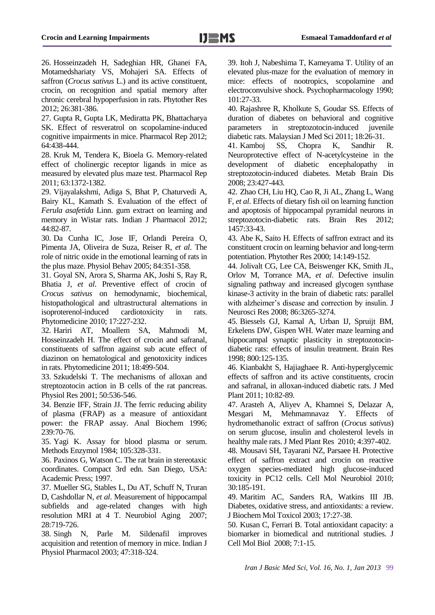26. Hosseinzadeh H, Sadeghian HR, Ghanei FA, Motamedshariaty VS, Mohajeri SA. Effects of saffron (*Crocus sativus* L.) and its active constituent, crocin, on recognition and spatial memory after chronic cerebral hypoperfusion in rats. Phytother Res 2012; 26:381-386.

27. Gupta R, Gupta LK, Mediratta PK, Bhattacharya SK. Effect of resveratrol on scopolamine-induced cognitive impairments in mice. Pharmacol Rep 2012; 64:438-444.

28. Kruk M, Tendera K, Bioela G. Memory-related effect of cholinergic receptor ligands in mice as measured by elevated plus maze test. Pharmacol Rep 2011; 63:1372-1382.

29. Vijayalakshmi, Adiga S, Bhat P, Chaturvedi A, Bairy KL, Kamath S. Evaluation of the effect of *Ferula asafetida* Linn. gum extract on learning and memory in Wistar rats. Indian J Pharmacol 2012; 44:82-87.

30. Da Cunha IC, Jose IF, Orlandi Pereira O, Pimenta JA, Oliveira de Suza, Reiser R, *et al*. The role of nitric oxide in the emotional learning of rats in the plus maze. Physiol Behav 2005; 84:351-358.

31. Goyal SN, Arora S, Sharma AK, Joshi S, Ray R, Bhatia J, *et al*. Preventive effect of crocin of *Crocus sativus* on hemodynamic, biochemical, histopathological and ultrastructural alternations in isoproterenol-induced cardiotoxicity in rats. Phytomedicine 2010; 17:227-232.

32. Hariri AT, Moallem SA, Mahmodi M, Hosseinzadeh H. The effect of crocin and safranal, constituents of saffron against sub acute effect of diazinon on hematological and genotoxicity indices in rats. Phytomedicine 2011; 18:499-504.

33. Szkudelski T. The mechanisms of alloxan and streptozotocin action in B cells of the rat pancreas. Physiol Res 2001; 50:536-546.

34. Benzie IFF, Strain JJ. The ferric reducing ability of plasma (FRAP) as a measure of antioxidant power: the FRAP assay. Anal Biochem 1996; 239:70-76.

35. Yagi K. Assay for blood plasma or serum. Methods Enzymol 1984; 105:328-331.

36. Paxinos G, Watson C. The rat brain in stereotaxic coordinates. Compact 3rd edn. San Diego, USA: Academic Press; 1997.

37. Mueller SG, Stables L, Du AT, Schuff N, Truran D, Cashdollar N, *et al*. Measurement of hippocampal subfields and age-related changes with high resolution MRI at 4 T. Neurobiol Aging 2007; 28:719-726.

38. Singh N, Parle M. Sildenafil improves acquisition and retention of memory in mice. Indian J Physiol Pharmacol 2003; 47:318-324.

39. Itoh J, Nabeshima T, Kameyama T. Utility of an elevated plus-maze for the evaluation of memory in mice: effects of nootropics, scopolamine and electroconvulsive shock. Psychopharmacology 1990; 101:27-33.

40. Rajashree R, Kholkute S, Goudar SS. Effects of duration of diabetes on behavioral and cognitive parameters in streptozotocin-induced juvenile diabetic rats. Malaysian J Med Sci 2011; 18:26-31.

41. [Kamboj SS,](http://www.ncbi.nlm.nih.gov/pubmed?term=Kamboj%20SS%5BAuthor%5D&cauthor=true&cauthor_uid=18802743) [Chopra K,](http://www.ncbi.nlm.nih.gov/pubmed?term=Chopra%20K%5BAuthor%5D&cauthor=true&cauthor_uid=18802743) [Sandhir R.](http://www.ncbi.nlm.nih.gov/pubmed?term=Sandhir%20R%5BAuthor%5D&cauthor=true&cauthor_uid=18802743) Neuroprotective effect of N-acetylcysteine in the development of diabetic encephalopathy in streptozotocin-induced diabetes. [Metab Brain Dis](http://www.ncbi.nlm.nih.gov/pubmed/18802743##) 2008; 23:427-443.

42. Zhao CH, Liu HQ, Cao R, Ji AL, Zhang L, Wang F, *et al*. Effects of dietary fish oil on learning function and apoptosis of hippocampal pyramidal neurons in streptozotocin-diabetic rats. Brain Res 2012; 1457:33-43.

43. Abe K, Saito H. Effects of saffron extract and its constituent crocin on learning behavior and long-term potentiation. Phytother Res 2000; 14:149-152.

44. Jolivalt CG, Lee CA, Beiswenger KK, Smith JL, Orlov M, Torrance MA, *et al*. Defective insulin signaling pathway and increased glycogen synthase kinase-3 activity in the brain of diabetic rats: parallel with alzheimer's disease and correction by insulin. J Neurosci Res 2008; 86:3265-3274.

45. Biessels GJ, Kamal A, Urban IJ, Spruijt BM, Erkelens DW, Gispen WH. Water maze learning and hippocampal synaptic plasticity in streptozotocindiabetic rats: effects of insulin treatment. Brain Res 1998; 800:125-135.

46. Kianbakht S, Hajiaghaee R. Anti-hyperglycemic effects of saffron and its active constituents, crocin and safranal, in alloxan-induced diabetic rats. J Med Plant 2011; 10:82-89.

47. Arasteh A, Aliyev A, Khamnei S, Delazar A, Mesgari M, Mehmamnavaz Y. Effects of hydromethanolic extract of saffron (*Crocus sativus*) on serum glucose, insulin and cholesterol levels in healthy male rats. J Med Plant Res 2010; 4:397-402.

48. Mousavi SH, Tayarani NZ, Parsaee H. Protective effect of saffron extract and crocin on reactive oxygen species-mediated high glucose-induced toxicity in PC12 cells. Cell Mol Neurobiol 2010; 30:185-191.

49. Maritim AC, Sanders RA, Watkins III JB. Diabetes, oxidative stress, and antioxidants: a review. J Biochem Mol Toxicol 2003; 17:27-38.

50. Kusan C, Ferrari B. Total antioxidant capacity: a biomarker in biomedical and nutritional studies. J Cell Mol Biol 2008; 7:1-15.